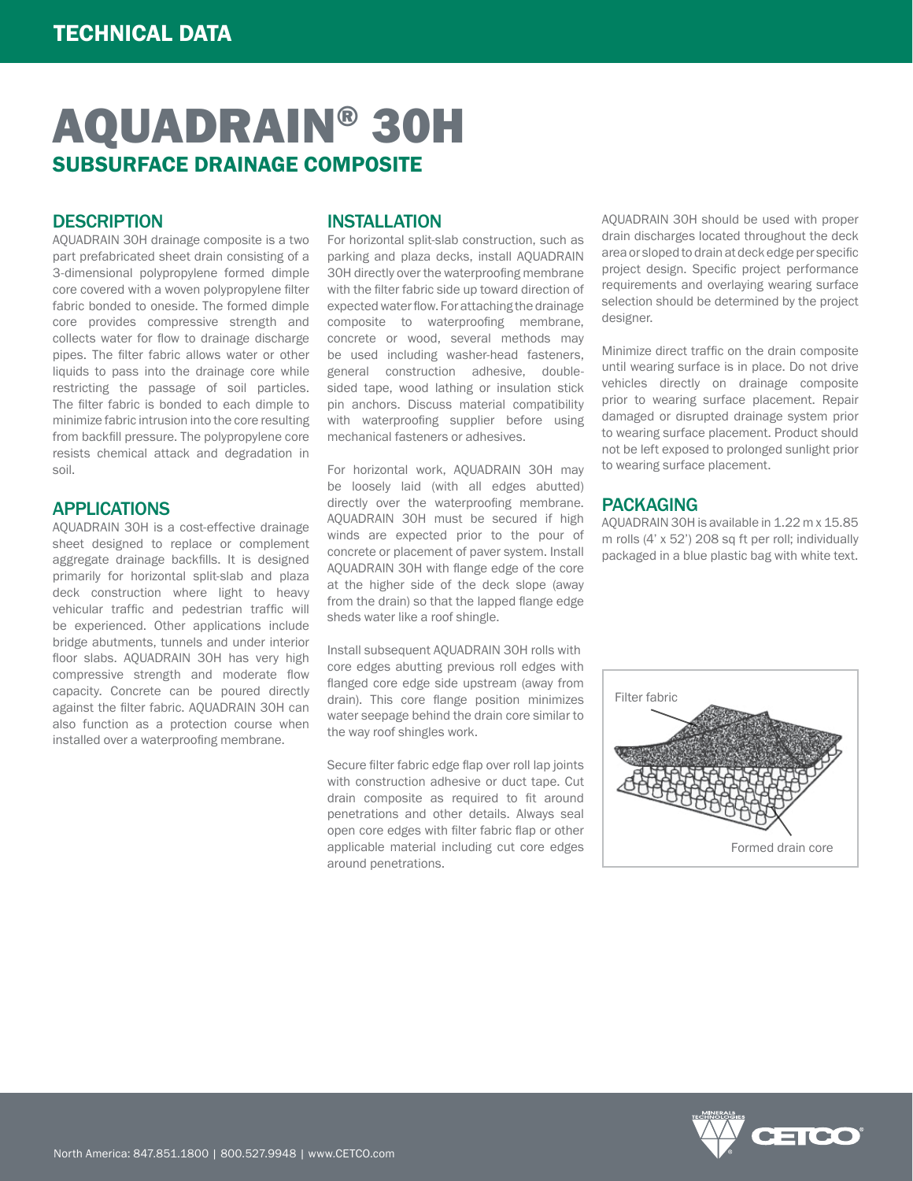# AQUADRAIN® 30H SUBSURFACE DRAINAGE COMPOSITE

#### **DESCRIPTION**

AQUADRAIN 30H drainage composite is a two part prefabricated sheet drain consisting of a 3-dimensional polypropylene formed dimple core covered with a woven polypropylene filter fabric bonded to oneside. The formed dimple core provides compressive strength and collects water for flow to drainage discharge pipes. The filter fabric allows water or other liquids to pass into the drainage core while restricting the passage of soil particles. The filter fabric is bonded to each dimple to minimize fabric intrusion into the core resulting from backfill pressure. The polypropylene core resists chemical attack and degradation in soil.

#### APPLICATIONS

AQUADRAIN 30H is a cost-effective drainage sheet designed to replace or complement aggregate drainage backfills. It is designed primarily for horizontal split-slab and plaza deck construction where light to heavy vehicular traffic and pedestrian traffic will be experienced. Other applications include bridge abutments, tunnels and under interior floor slabs. AQUADRAIN 30H has very high compressive strength and moderate flow capacity. Concrete can be poured directly against the filter fabric. AQUADRAIN 30H can also function as a protection course when installed over a waterproofing membrane.

### INSTALLATION

For horizontal split-slab construction, such as parking and plaza decks, install AQUADRAIN 30H directly over the waterproofing membrane with the filter fabric side up toward direction of expected water flow. For attaching the drainage composite to waterproofing membrane, concrete or wood, several methods may be used including washer-head fasteners, general construction adhesive, doublesided tape, wood lathing or insulation stick pin anchors. Discuss material compatibility with waterproofing supplier before using mechanical fasteners or adhesives.

For horizontal work, AQUADRAIN 30H may be loosely laid (with all edges abutted) directly over the waterproofing membrane. AQUADRAIN 30H must be secured if high winds are expected prior to the pour of concrete or placement of paver system. Install AQUADRAIN 30H with flange edge of the core at the higher side of the deck slope (away from the drain) so that the lapped flange edge sheds water like a roof shingle.

Install subsequent AQUADRAIN 30H rolls with core edges abutting previous roll edges with flanged core edge side upstream (away from drain). This core flange position minimizes water seepage behind the drain core similar to the way roof shingles work.

Secure filter fabric edge flap over roll lap joints with construction adhesive or duct tape. Cut drain composite as required to fit around penetrations and other details. Always seal open core edges with filter fabric flap or other applicable material including cut core edges around penetrations.

AQUADRAIN 30H should be used with proper drain discharges located throughout the deck area or sloped to drain at deck edge per specific project design. Specific project performance requirements and overlaying wearing surface selection should be determined by the project designer.

Minimize direct traffic on the drain composite until wearing surface is in place. Do not drive vehicles directly on drainage composite prior to wearing surface placement. Repair damaged or disrupted drainage system prior to wearing surface placement. Product should not be left exposed to prolonged sunlight prior to wearing surface placement.

#### PACKAGING

AQUADRAIN 30H is available in 1.22 m x 15.85 m rolls (4' x 52') 208 sq ft per roll; individually packaged in a blue plastic bag with white text.